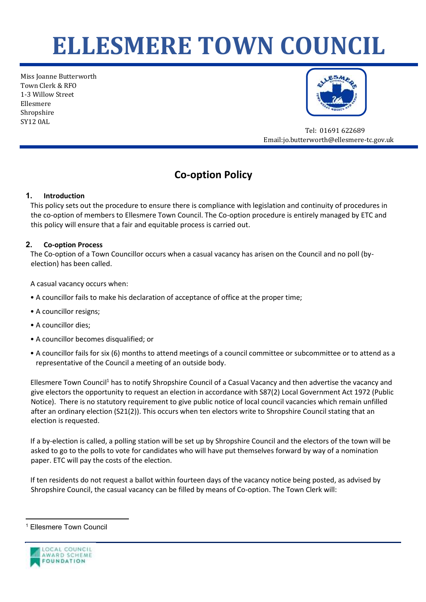# **ELLESMERE TOWN COUNCIL**

Miss Joanne Butterworth Town Clerk & RFO 1-3 Willow Street Ellesmere Shropshire SY12 0AL



 Tel: 01691 622689 Email:jo.butterworth@ellesmere-tc.gov.uk

# **Co-option Policy**

# **1. Introduction**

This policy sets out the procedure to ensure there is compliance with legislation and continuity of procedures in the co-option of members to Ellesmere Town Council. The Co-option procedure is entirely managed by ETC and this policy will ensure that a fair and equitable process is carried out.

# **2. Co-option Process**

The Co-option of a Town Councillor occurs when a casual vacancy has arisen on the Council and no poll (byelection) has been called.

A casual vacancy occurs when:

- A councillor fails to make his declaration of acceptance of office at the proper time;
- A councillor resigns;
- A councillor dies;
- A councillor becomes disqualified; or
- A councillor fails for six (6) months to attend meetings of a council committee or subcommittee or to attend as a representative of the Council a meeting of an outside body.

Ellesmere Town Council<sup>1</sup> has to notify Shropshire Council of a Casual Vacancy and then advertise the vacancy and give electors the opportunity to request an election in accordance with S87(2) Local Government Act 1972 (Public Notice). There is no statutory requirement to give public notice of local council vacancies which remain unfilled after an ordinary election (S21(2)). This occurs when ten electors write to Shropshire Council stating that an election is requested.

If a by-election is called, a polling station will be set up by Shropshire Council and the electors of the town will be asked to go to the polls to vote for candidates who will have put themselves forward by way of a nomination paper. ETC will pay the costs of the election.

If ten residents do not request a ballot within fourteen days of the vacancy notice being posted, as advised by Shropshire Council, the casual vacancy can be filled by means of Co-option. The Town Clerk will:

**Ellesmere Town Council** 

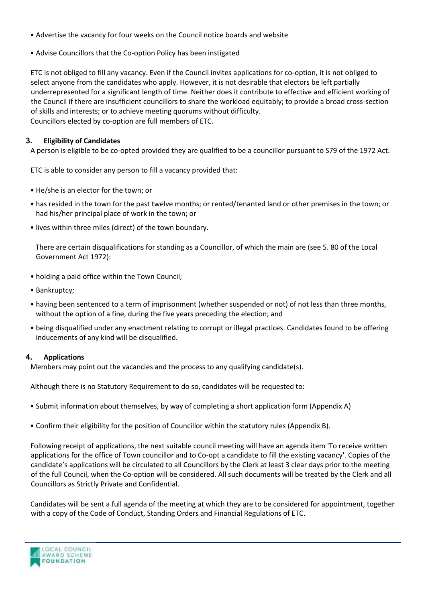- Advertise the vacancy for four weeks on the Council notice boards and website
- Advise Councillors that the Co-option Policy has been instigated

ETC is not obliged to fill any vacancy. Even if the Council invites applications for co-option, it is not obliged to select anyone from the candidates who apply. However, it is not desirable that electors be left partially underrepresented for a significant length of time. Neither does it contribute to effective and efficient working of the Council if there are insufficient councillors to share the workload equitably; to provide a broad cross-section of skills and interests; or to achieve meeting quorums without difficulty. Councillors elected by co-option are full members of ETC.

#### **3. Eligibility of Candidates**

A person is eligible to be co-opted provided they are qualified to be a councillor pursuant to S79 of the 1972 Act.

ETC is able to consider any person to fill a vacancy provided that:

- He/she is an elector for the town; or
- has resided in the town for the past twelve months; or rented/tenanted land or other premises in the town; or had his/her principal place of work in the town; or
- lives within three miles (direct) of the town boundary.

There are certain disqualifications for standing as a Councillor, of which the main are (see 5. 80 of the Local Government Act 1972):

- holding a paid office within the Town Council;
- Bankruptcy;
- having been sentenced to a term of imprisonment (whether suspended or not) of not less than three months, without the option of a fine, during the five years preceding the election; and
- being disqualified under any enactment relating to corrupt or illegal practices. Candidates found to be offering inducements of any kind will be disqualified.

#### **4. Applications**

Members may point out the vacancies and the process to any qualifying candidate(s).

Although there is no Statutory Requirement to do so, candidates will be requested to:

- Submit information about themselves, by way of completing a short application form (Appendix A)
- Confirm their eligibility for the position of Councillor within the statutory rules (Appendix B).

Following receipt of applications, the next suitable council meeting will have an agenda item 'To receive written applications for the office of Town councillor and to Co-opt a candidate to fill the existing vacancy'. Copies of the candidate's applications will be circulated to all Councillors by the Clerk at least 3 clear days prior to the meeting of the full Council, when the Co-option will be considered. All such documents will be treated by the Clerk and all Councillors as Strictly Private and Confidential.

Candidates will be sent a full agenda of the meeting at which they are to be considered for appointment, together with a copy of the Code of Conduct, Standing Orders and Financial Regulations of ETC.

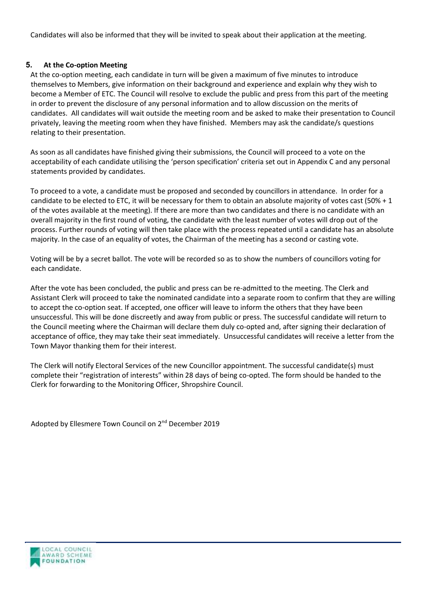Candidates will also be informed that they will be invited to speak about their application at the meeting.

# **5. At the Co-option Meeting**

At the co-option meeting, each candidate in turn will be given a maximum of five minutes to introduce themselves to Members, give information on their background and experience and explain why they wish to become a Member of ETC. The Council will resolve to exclude the public and press from this part of the meeting in order to prevent the disclosure of any personal information and to allow discussion on the merits of candidates. All candidates will wait outside the meeting room and be asked to make their presentation to Council privately, leaving the meeting room when they have finished. Members may ask the candidate/s questions relating to their presentation.

As soon as all candidates have finished giving their submissions, the Council will proceed to a vote on the acceptability of each candidate utilising the 'person specification' criteria set out in Appendix C and any personal statements provided by candidates.

To proceed to a vote, a candidate must be proposed and seconded by councillors in attendance. In order for a candidate to be elected to ETC, it will be necessary for them to obtain an absolute majority of votes cast (50% + 1 of the votes available at the meeting). If there are more than two candidates and there is no candidate with an overall majority in the first round of voting, the candidate with the least number of votes will drop out of the process. Further rounds of voting will then take place with the process repeated until a candidate has an absolute majority. In the case of an equality of votes, the Chairman of the meeting has a second or casting vote.

Voting will be by a secret ballot. The vote will be recorded so as to show the numbers of councillors voting for each candidate.

After the vote has been concluded, the public and press can be re-admitted to the meeting. The Clerk and Assistant Clerk will proceed to take the nominated candidate into a separate room to confirm that they are willing to accept the co-option seat. If accepted, one officer will leave to inform the others that they have been unsuccessful. This will be done discreetly and away from public or press. The successful candidate will return to the Council meeting where the Chairman will declare them duly co-opted and, after signing their declaration of acceptance of office, they may take their seat immediately. Unsuccessful candidates will receive a letter from the Town Mayor thanking them for their interest.

The Clerk will notify Electoral Services of the new Councillor appointment. The successful candidate(s) must complete their "registration of interests" within 28 days of being co-opted. The form should be handed to the Clerk for forwarding to the Monitoring Officer, Shropshire Council.

Adopted by Ellesmere Town Council on 2<sup>nd</sup> December 2019

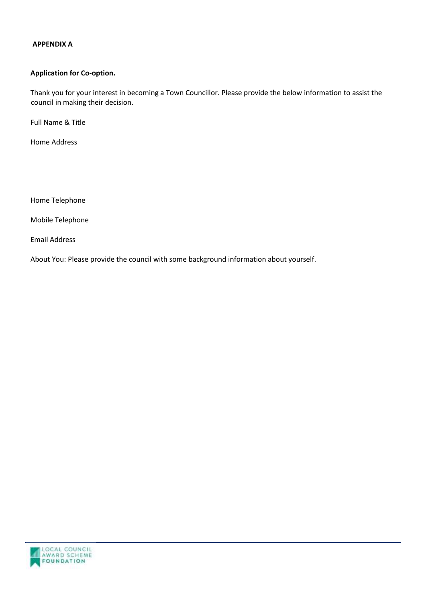#### **APPENDIX A**

#### **Application for Co-option.**

Thank you for your interest in becoming a Town Councillor. Please provide the below information to assist the council in making their decision.

Full Name & Title

Home Address

Home Telephone

Mobile Telephone

Email Address

About You: Please provide the council with some background information about yourself.

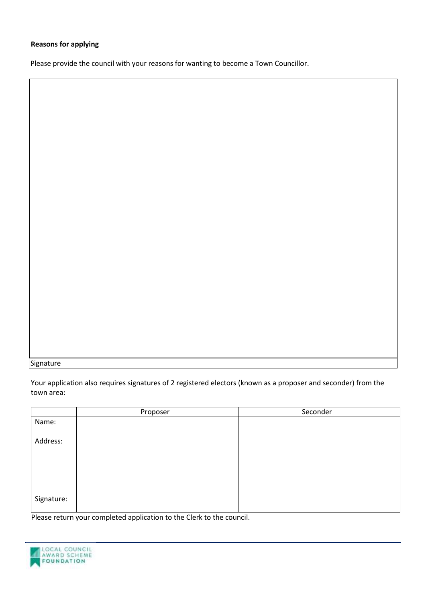# **Reasons for applying**

Please provide the council with your reasons for wanting to become a Town Councillor.

Signature

Your application also requires signatures of 2 registered electors (known as a proposer and seconder) from the town area:

|            | Proposer | Seconder |
|------------|----------|----------|
| Name:      |          |          |
| Address:   |          |          |
|            |          |          |
|            |          |          |
| Signature: |          |          |

Please return your completed application to the Clerk to the council.

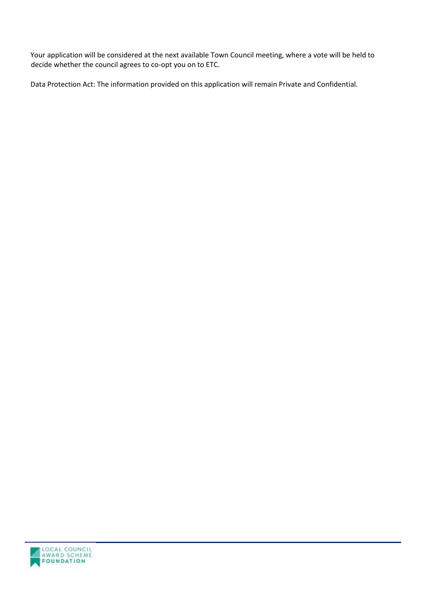Your application will be considered at the next available Town Council meeting, where a vote will be held to decide whether the council agrees to co-opt you on to ETC.

Data Protection Act: The information provided on this application will remain Private and Confidential.